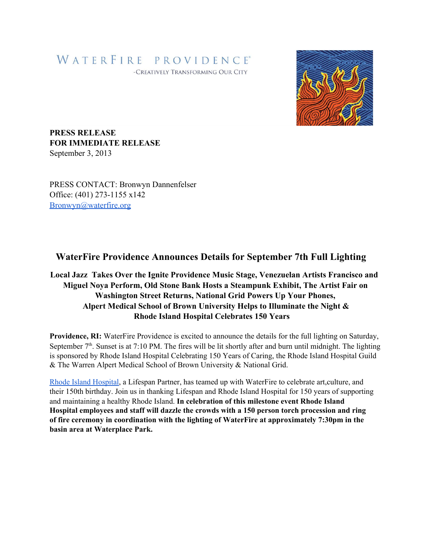## WATERFIRE PROVIDENCE® -CREATIVELY TRANSFORMING OUR CITY



**PRESS RELEASE FOR IMMEDIATE RELEASE** September 3, 2013

PRESS CONTACT: Bronwyn Dannenfelser Office: (401) 273-1155 x142 [Bronwyn@waterfire.org](mailto:Bronwyn@waterfire.org)

## **WaterFire Providence Announces Details for September 7th Full Lighting**

## **Local Jazz Takes Over the Ignite Providence Music Stage, Venezuelan Artists Francisco and Miguel Noya Perform, Old Stone Bank Hosts a Steampunk Exhibit, The Artist Fair on Washington Street Returns, National Grid Powers Up Your Phones, Alpert Medical School of Brown University Helps to Illuminate the Night & Rhode Island Hospital Celebrates 150 Years**

**Providence, RI:** WaterFire Providence is excited to announce the details for the full lighting on Saturday, September  $7<sup>th</sup>$ . Sunset is at 7:10 PM. The fires will be lit shortly after and burn until midnight. The lighting is sponsored by Rhode Island Hospital Celebrating 150 Years of Caring, the Rhode Island Hospital Guild & The Warren Alpert Medical School of Brown University & National Grid.

Rhode Island [Hospital,](http://www.google.com/url?q=http%3A%2F%2Fwww.rhodeislandhospital.org%2F150th-anniversary%2F&sa=D&sntz=1&usg=AFQjCNGlnmVeToaoQunf7VZ8l5F4-MsAqg) a Lifespan Partner, has teamed up with WaterFire to celebrate art,culture, and their 150th birthday. Join us in thanking Lifespan and Rhode Island Hospital for 150 years of supporting and maintaining a healthy Rhode Island. **In celebration of this milestone event Rhode Island Hospital employees and staff will dazzle the crowds with a 150 person torch procession and ring of fire ceremony in coordination with the lighting of WaterFire at approximately 7:30pm in the basin area at Waterplace Park.**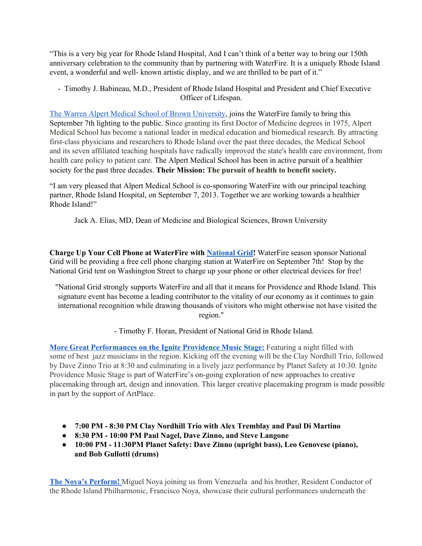"This is a very big year for Rhode Island Hospital, And I can't think of a better way to bring our 150th anniversary celebration to the community than by partnering with WaterFire. It is a uniquely Rhode Island event, a wonderful and well-known artistic display, and we are thrilled to be part of it."

 Timothy J. Babineau, M.D., President of Rhode Island Hospital and President and Chief Executive Officer of Lifespan.

The Warren Alpert Medical School of Brown [University,](http://www.google.com/url?q=http%3A%2F%2Fbrown.edu%2Facademics%2Fmedical%2F&sa=D&sntz=1&usg=AFQjCNHF64orZF_je6KtGaMdCIfSv_XCew) joins the WaterFire family to bring this September 7th lighting to the public. Since granting its first Doctor of Medicine degrees in 1975, Alpert Medical School has become a national leader in medical education and biomedical research. By attracting first-class physicians and researchers to Rhode Island over the past three decades, the Medical School and its seven affiliated teaching hospitals have radically improved the state's health care environment, from health care policy to patient care. The Alpert Medical School has been in active pursuit of a healthier society for the past three decades. **Their Mission: The pursuit of health to benefit society.**

"I am very pleased that Alpert Medical School is co-sponsoring WaterFire with our principal teaching partner, Rhode Island Hospital, on September 7, 2013. Together we are working towards a healthier Rhode Island!"

Jack A. Elias, MD, Dean of Medicine and Biological Sciences, Brown University

**Charge Up Your Cell Phone at WaterFire with [National](http://www.google.com/url?q=http%3A%2F%2Fwww.nationalgridus.com&sa=D&sntz=1&usg=AFQjCNGZuLWDYXtxmLvjYXaR0yABIUJxsQ) Grid!** WaterFire season sponsor National Grid will be providing a free cell phone charging station at WaterFire on September 7th! Stop by the National Grid tent on Washington Street to charge up your phone or other electrical devices for free!

"National Grid strongly supports WaterFire and all that it means for Providence and Rhode Island. This signature event has become a leading contributor to the vitality of our economy as it continues to gain international recognition while drawing thousands of visitors who might otherwise not have visited the region."

Timothy F. Horan, President of National Grid in Rhode Island.

**More Great [Performances](http://www.google.com/url?q=http%3A%2F%2Figniteprovidence.com%2Fevents%2Fnecronomicons-steeple-street-music-stage%2F&sa=D&sntz=1&usg=AFQjCNE_1MHbEl8cPYT98WiCMic04NMh7A) on the Ignite Providence Music Stage:** Featuring a night filled with some of best jazz musicians in the region. Kicking off the evening will be the Clay Nordhill Trio, followed by Dave Zinno Trio at 8:30 and culminating in a lively jazz performance by Planet Safety at 10:30. Ignite Providence Music Stage is part of WaterFire's on-going exploration of new approaches to creative placemaking through art, design and innovation. This larger creative placemaking program is made possible in part by the support of ArtPlace.

- **● 7:00 PM 8:30 PM Clay Nordhill Trio with Alex Tremblay and Paul Di Martino**
- **● 8:30 PM 10:00 PM Paul Nagel, Dave Zinno, and Steve Langone**
- **● 10:00 PM 11:30PM Planet Safety: Dave Zinno (upright bass), Leo Genovese (piano), and Bob Gullotti (drums)**

**The Noya's [Perform!](http://www.google.com/url?q=http%3A%2F%2Figniteprovidence.com%2F%3Fp%3D1217&sa=D&sntz=1&usg=AFQjCNGNn65kMRjGFlERG3zVW-zZKhszbg)** Miguel Noya joining us from Venezuela and his brother, Resident Conductor of the Rhode Island Philharmonic, Francisco Noya, showcase their cultural performances underneath the